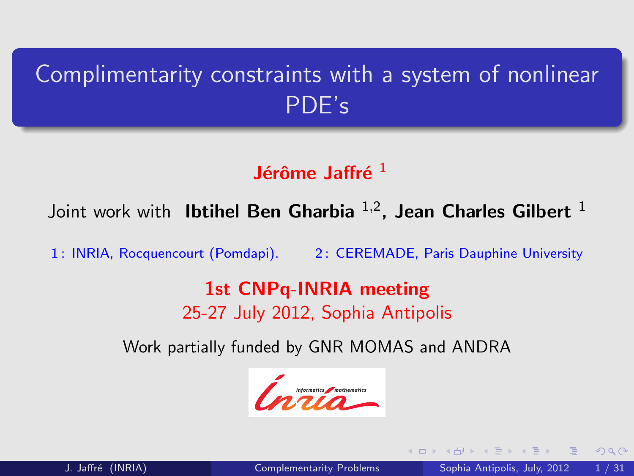# Complimentarity constraints with a system of nonlinear PDE's

# Jérôme Jaffré  $^1$

Joint work with lbtihel Ben Gharbia  $^{1,2}$ , Jean Charles Gilbert  $^1$ 

1: INRIA, Rocquencourt (Pomdapi). 2: CEREMADE, Paris Dauphine University

## 1st CNPq-INRIA meeting 25-27 July 2012, Sophia Antipolis

Work partially funded by GNR MOMAS and ANDRA

<span id="page-0-0"></span>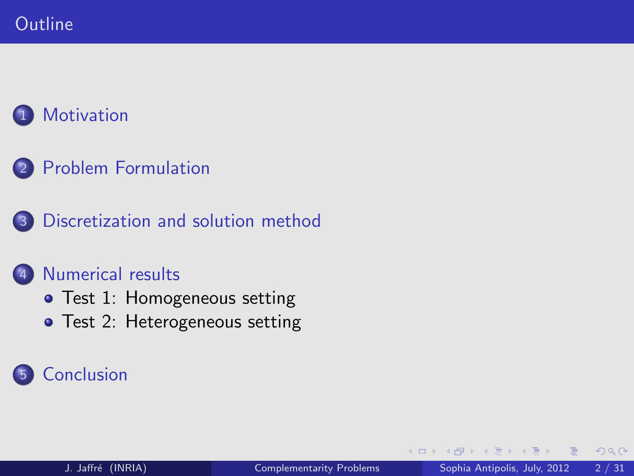2 [Problem Formulation](#page-5-0)

3 [Discretization and solution method](#page-11-0)

## [Numerical results](#page-18-0)

- [Test 1: Homogeneous setting](#page-19-0)
- [Test 2: Heterogeneous setting](#page-24-0)

# **[Conclusion](#page-28-0)**

4 0 1

 $QQ$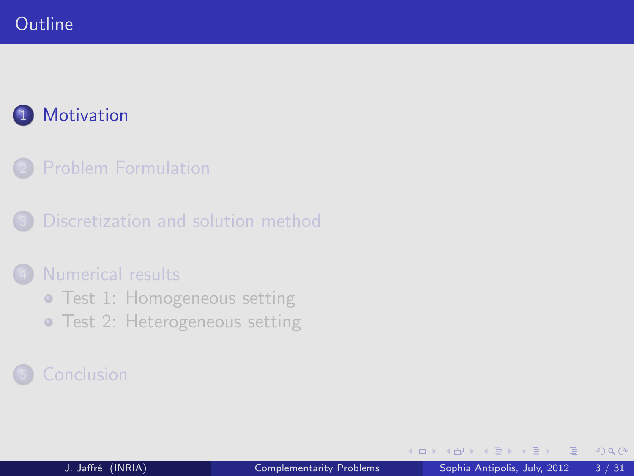## **Outline**

# **[Motivation](#page-2-0)**

[Problem Formulation](#page-5-0)

[Discretization and solution method](#page-11-0)

### [Numerical results](#page-18-0)

- **•** [Test 1: Homogeneous setting](#page-19-0)
- **[Test 2: Heterogeneous setting](#page-24-0)**

<span id="page-2-0"></span>4 0 1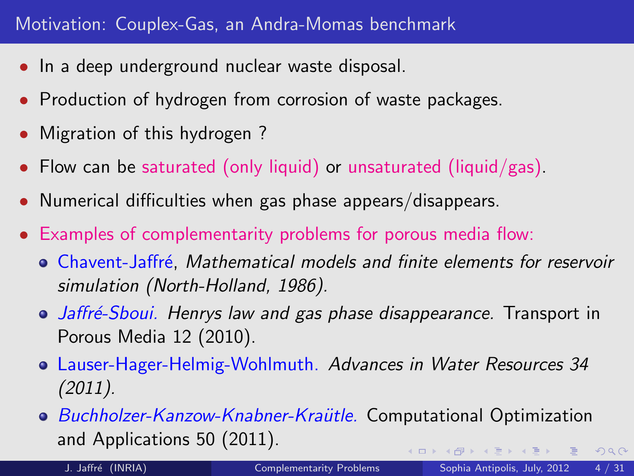- In a deep underground nuclear waste disposal.
- Production of hydrogen from corrosion of waste packages.
- Migration of this hydrogen?
- Flow can be saturated (only liquid) or unsaturated (liquid/gas).
- Numerical difficulties when gas phase appears/disappears.
- Examples of complementarity problems for porous media flow:
	- **Chavent-Jaffré, Mathematical models and finite elements for reservoir** simulation (North-Holland, 1986).
	- Jaffré-Sboui. Henrys law and gas phase disappearance. Transport in Porous Media 12 (2010).
	- Lauser-Hager-Helmig-Wohlmuth. Advances in Water Resources 34 (2011).
	- **Buchholzer-Kanzow-Knabner-Kraütle. Computational Optimization** and Applications 50 (2011).  $QQ$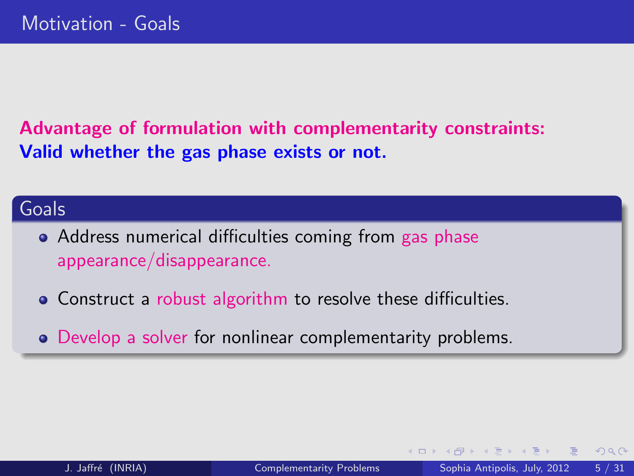Advantage of formulation with complementarity constraints: Valid whether the gas phase exists or not.

### Goals

- Address numerical difficulties coming from gas phase appearance/disappearance.
- Construct a robust algorithm to resolve these difficulties.
- Develop a solver for nonlinear complementarity problems.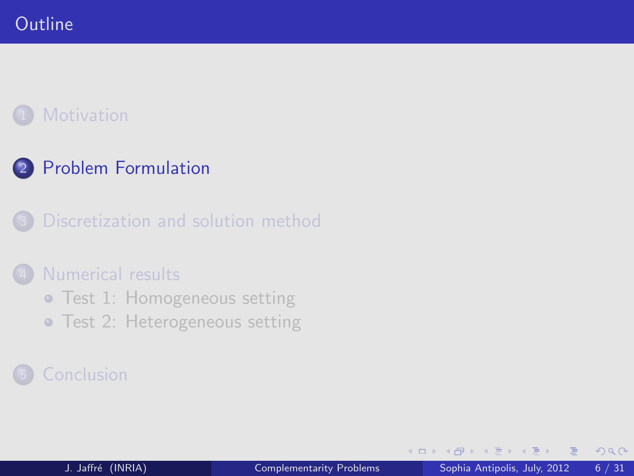# 2 [Problem Formulation](#page-5-0)

## [Discretization and solution method](#page-11-0)

### [Numerical results](#page-18-0)

- **•** [Test 1: Homogeneous setting](#page-19-0)
- **[Test 2: Heterogeneous setting](#page-24-0)**

<span id="page-5-0"></span>4 0 1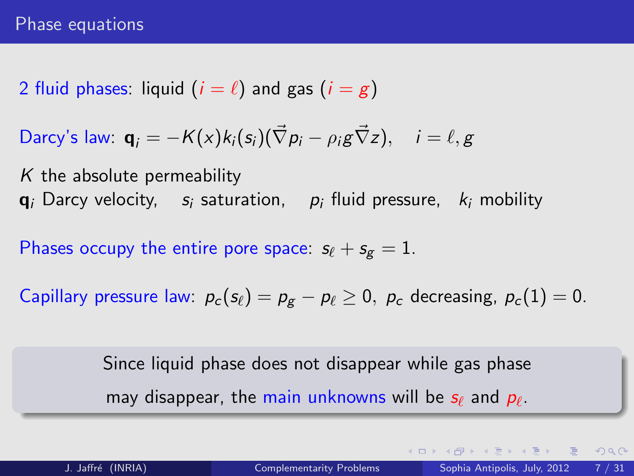2 fluid phases: liquid  $(i = \ell)$  and gas  $(i = g)$ 

Darcy's law: 
$$
\mathbf{q}_i = -K(x)k_i(s_i)(\vec{\nabla}p_i - \rho_i g \vec{\nabla}z), \quad i = \ell, g
$$

 $K$  the absolute permeability  $q_i$  Darcy velocity,  $s_i$  saturation,  $p_i$  fluid pressure,  $k_i$  mobility

Phases occupy the entire pore space:  $s_{\ell} + s_{\ell} = 1$ .

Capillary pressure law:  $p_c (s_\ell) = p_g - p_\ell \ge 0$ ,  $p_c$  decreasing,  $p_c (1) = 0$ .

<span id="page-6-0"></span>Since liquid phase does not disappear while gas phase may disappear, the main unknowns will be  $s_\ell$  and  $p_\ell.$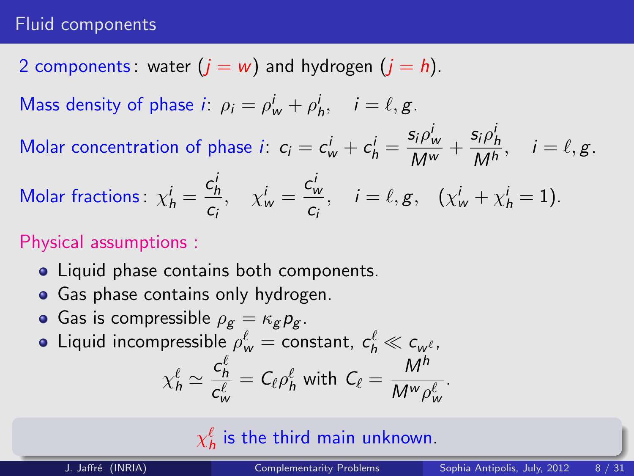### Fluid components

2 components: water  $(j = w)$  and hydrogen  $(j = h)$ .

Mass density of phase *i*:  $\rho_i = \rho_w^i + \rho_h^i$ ,  $i = \ell, g$ .

Molar concentration of phase  $i$ :  $c_i = c_w^i + c_h^i = \frac{s_i \rho_w^i}{M^w}$  $\frac{\mathsf{s}_i \rho^i_{\mathsf{w}}}{\mathsf{M}^{\mathsf{w}}} + \frac{\mathsf{s}_i \rho^i_{\mathsf{h}}}{\mathsf{M}^{\mathsf{h}}}$  $\frac{i}{M^h}, \quad i = \ell, g.$ 

Molar fractions: 
$$
\chi_h^i = \frac{c_h^i}{c_i}
$$
,  $\chi_w^i = \frac{c_w^i}{c_i}$ ,  $i = \ell, g$ ,  $(\chi_w^i + \chi_h^i = 1)$ .

## Physical assumptions :

- Liquid phase contains both components.
- Gas phase contains only hydrogen.
- Gas is compressible  $\rho_g = \kappa_g p_g$ .
- Liquid incompressible  $\rho_{\sf w}^\ell=$  constant,  $\,c_{\sf h}^\ell\ll c_{{\sf w}^\ell}^{},\,$

$$
\chi_h^{\ell} \simeq \frac{c_h^{\ell}}{c_w^{\ell}} = C_{\ell} \rho_h^{\ell} \text{ with } C_{\ell} = \frac{M^h}{M^w \rho_w^{\ell}}.
$$

 $\chi_h^\ell$  is the third main unkn[ow](#page-6-0)[n.](#page-8-0)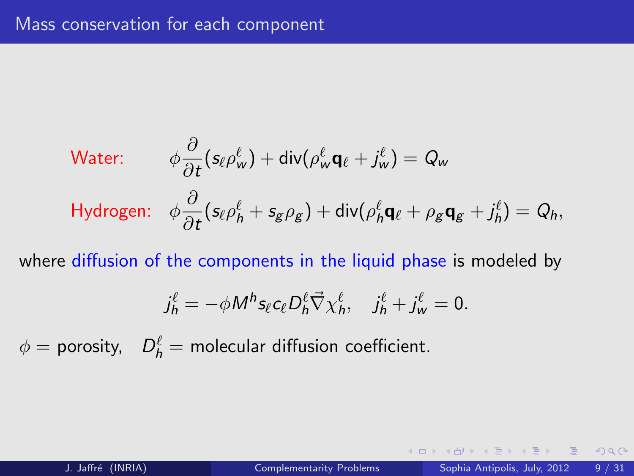Water: 
$$
\phi \frac{\partial}{\partial t} (s_{\ell} \rho_w^{\ell}) + \text{div} (\rho_w^{\ell} \mathbf{q}_{\ell} + j_w^{\ell}) = Q_w
$$
  
Hydrogen: 
$$
\phi \frac{\partial}{\partial t} (s_{\ell} \rho_h^{\ell} + s_g \rho_g) + \text{div} (\rho_h^{\ell} \mathbf{q}_{\ell} + \rho_g \mathbf{q}_g + j_h^{\ell}) = Q_h,
$$

where diffusion of the components in the liquid phase is modeled by

$$
j_h^{\ell} = -\phi M^h s_{\ell} c_{\ell} D_h^{\ell} \vec{\nabla} \chi_h^{\ell}, \quad j_h^{\ell} + j_w^{\ell} = 0.
$$

 $\phi =$  porosity,  $\;\;D_h^{\ell} =$  molecular diffusion coefficient.

4 **D F** 

<span id="page-8-0"></span> $2QQ$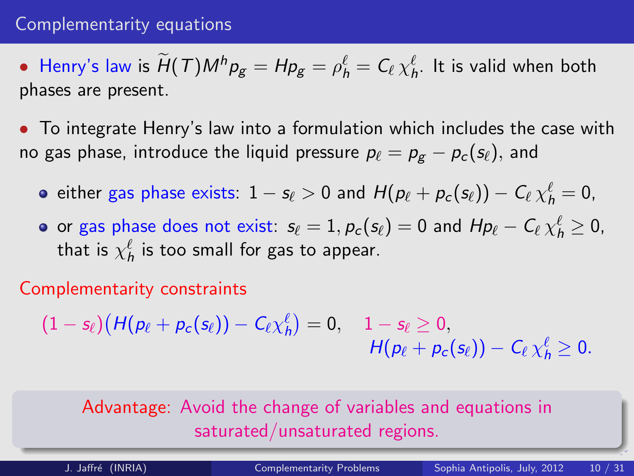### Complementarity equations

• Henry's law is  $H(T)M^hp_g = Hp_g = \rho^\ell_h = C_\ell \chi^\ell_h$ . It is valid when both phases are present.

• To integrate Henry's law into a formulation which includes the case with no gas phase, introduce the liquid pressure  $p_\ell = p_\varepsilon - p_c (s_\ell),$  and

- either gas phase exists:  $1 s_\ell > 0$  and  $H(p_\ell + p_c (s_\ell)) C_\ell \, \chi_h^\ell = 0$ ,
- or gas phase does not exist:  $s_\ell = 1, \rho_c (s_\ell) = 0$  and  $H p_\ell C_\ell \, \chi_h^\ell \geq 0,$ that is  $\chi_h^\ell$  is too small for gas to appear.

Complementarity constraints

 $(1-s_\ell)\bigl(H({p_\ell}+{p_c}({s_\ell}))C\mathcal{E}\chi_h^\ell\bigr)=0,\quad 1-s_\ell\geq 0,$  $H(p_\ell + p_c(s_\ell)) - C_\ell \chi_h^{\ell} \geq 0.$ 

## Advantage: Avoid the change of variables and equations in saturated/unsaturated regions.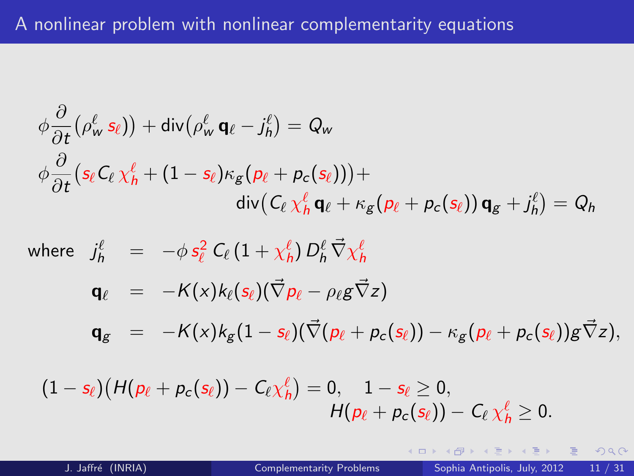$$
\phi \frac{\partial}{\partial t} (\rho_w^{\ell} s_{\ell})) + \text{div} (\rho_w^{\ell} \mathbf{q}_{\ell} - j_h^{\ell}) = Q_w
$$
  

$$
\phi \frac{\partial}{\partial t} (s_{\ell} C_{\ell} \chi_h^{\ell} + (1 - s_{\ell}) \kappa_g (p_{\ell} + p_c(s_{\ell}))) +
$$
  

$$
\text{div} (C_{\ell} \chi_h^{\ell} \mathbf{q}_{\ell} + \kappa_g (p_{\ell} + p_c(s_{\ell})) \mathbf{q}_{\ell} + j_h^{\ell}) = Q_h
$$

where  $j_h^\ell \quad = \quad - \phi \, s_\ell^2 \; \mathcal{C}_\ell \left( 1 + \chi_h^\ell \right) D_h^\ell \, \vec{\nabla} \chi_h^\ell$ 

$$
\mathbf{q}_{\ell} = -K(x)k_{\ell}(s_{\ell})(\vec{\nabla} p_{\ell} - \rho_{\ell} g \vec{\nabla} z)
$$

 $\mathbf{q}_{g} = -K(x)k_{g}(1 - s_{\ell})(\vec{\nabla}(\rho_{\ell} + \rho_{c}(s_{\ell})) - \kappa_{g}(\rho_{\ell} + \rho_{c}(s_{\ell}))g\vec{\nabla}z),$ 

$$
(1-s_\ell)\big(H(\rho_\ell+\rho_c(s_\ell)) - C_\ell \chi_h^\ell\big) = 0, \quad 1-s_\ell \geq 0,\\ \qquad H(\rho_\ell+\rho_c(s_\ell)) - C_\ell \, \chi_h^\ell \geq 0.
$$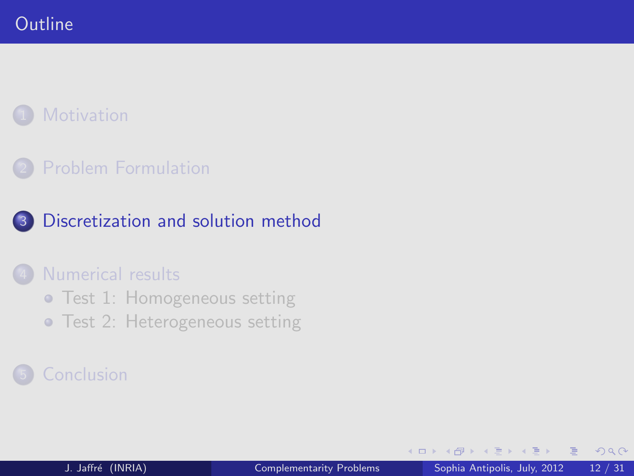## **[Problem Formulation](#page-5-0)**

## 3 [Discretization and solution method](#page-11-0)

### [Numerical results](#page-18-0)

- **[Test 1: Homogeneous setting](#page-19-0)**
- **[Test 2: Heterogeneous setting](#page-24-0)**

4 0 1

<span id="page-11-0"></span> $QQ$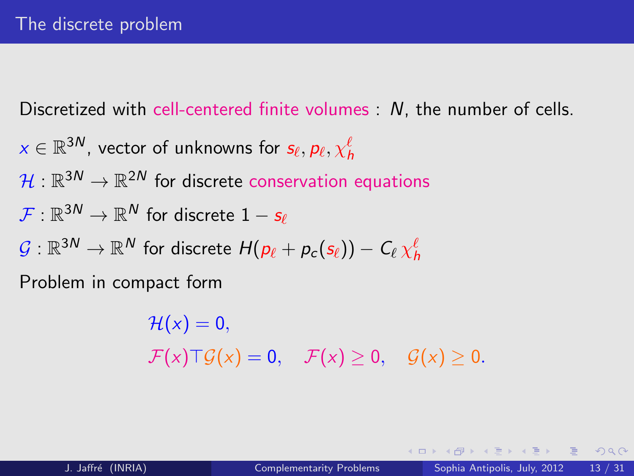Discretized with cell-centered finite volumes : N, the number of cells.

$$
x \in \mathbb{R}^{3N}
$$
, vector of unknowns for  $s_{\ell}, p_{\ell}, \chi^{\ell}_{h}$   

$$
\mathcal{H}: \mathbb{R}^{3N} \to \mathbb{R}^{2N}
$$
 for discrete conservation equations  

$$
\mathcal{F}: \mathbb{R}^{3N} \to \mathbb{R}^{N}
$$
 for discrete  $1 - s_{\ell}$   

$$
\mathcal{G}: \mathbb{R}^{3N} \to \mathbb{R}^{N}
$$
 for discrete  $H(p_{\ell} + p_{c}(s_{\ell})) - C_{\ell} \chi^{\ell}_{h}$   
Problem in compact form

 $\mathcal{H}(x) = 0$ ,  $\mathcal{F}(x) \top \mathcal{G}(x) = 0$ ,  $\mathcal{F}(x) \geq 0$ ,  $\mathcal{G}(x) \geq 0$ .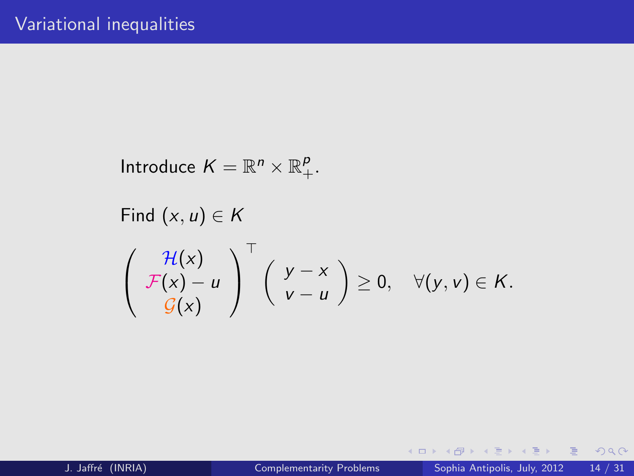Introduce  $K = \mathbb{R}^n \times \mathbb{R}_+^p$ .

Find 
$$
(x, u) \in K
$$
  
\n
$$
\begin{pmatrix}\n\mathcal{H}(x) \\
\mathcal{F}(x) - u \\
\mathcal{G}(x)\n\end{pmatrix}^{\top} \begin{pmatrix}\ny - x \\
y - u\n\end{pmatrix} \geq 0, \quad \forall (y, v) \in K.
$$

 $\equiv$ 

 $2990$ 

イロン イ部ン イヨン イヨン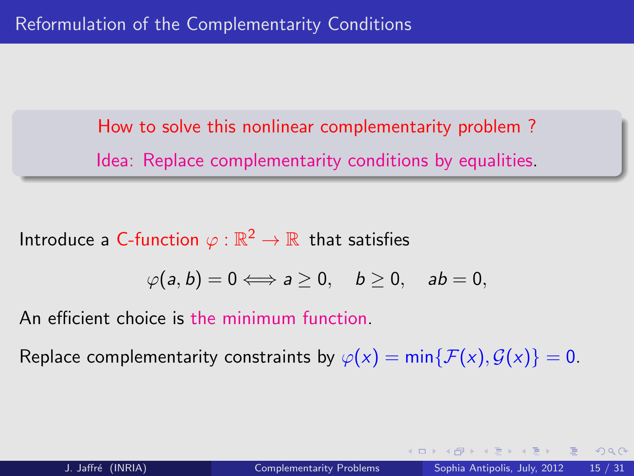How to solve this nonlinear complementarity problem ? Idea: Replace complementarity conditions by equalities.

Introduce a C-function  $\varphi:\mathbb{R}^2\to\mathbb{R}$  that satisfies

$$
\varphi(a,b)=0\Longleftrightarrow a\geq 0,\quad b\geq 0,\quad ab=0,
$$

An efficient choice is the minimum function.

Replace complementarity constraints by  $\varphi(x) = \min\{\mathcal{F}(x), \mathcal{G}(x)\} = 0$ .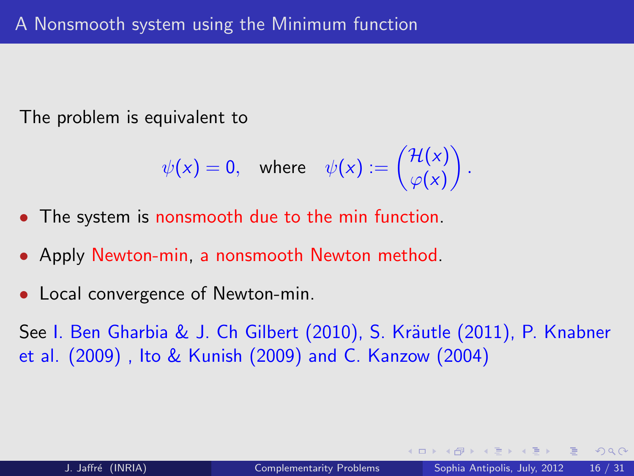The problem is equivalent to

$$
\psi(x)=0,\quad\text{where}\quad \psi(x):=\begin{pmatrix} \mathcal{H}(x)\\ \varphi(x) \end{pmatrix}.
$$

- The system is nonsmooth due to the min function.
- Apply Newton-min, a nonsmooth Newton method.
- Local convergence of Newton-min.

See I. Ben Gharbia & J. Ch Gilbert (2010), S. Kräutle (2011), P. Knabner et al. (2009) , Ito & Kunish (2009) and C. Kanzow (2004)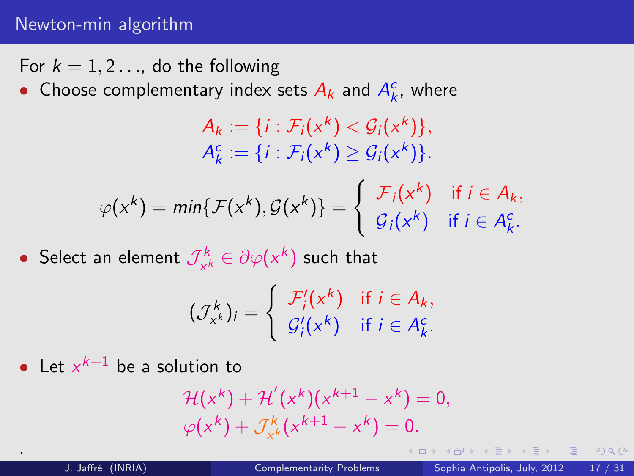### Newton-min algorithm

- For  $k = 1, 2, \ldots$ , do the following
- Choose complementary index sets  $A_k$  and  $A_k^c$ , where

$$
A_k := \{i : \mathcal{F}_i(x^k) < \mathcal{G}_i(x^k)\},
$$
\n
$$
A_k^c := \{i : \mathcal{F}_i(x^k) \geq \mathcal{G}_i(x^k)\}.
$$

$$
\varphi(x^k) = \min\{\mathcal{F}(x^k), \mathcal{G}(x^k)\} = \begin{cases} \mathcal{F}_i(x^k) & \text{if } i \in A_k, \\ \mathcal{G}_i(x^k) & \text{if } i \in A_k^c. \end{cases}
$$

• Select an element  $\mathcal{J}_{\mathcal{A}}^k$  $\gamma_{x^k}^{k} \in \partial \varphi(x^k)$  such that

$$
(\mathcal{J}_{x^k}^k)_i = \begin{cases} \mathcal{F}'_i(x^k) & \text{if } i \in A_k, \\ \mathcal{G}'_i(x^k) & \text{if } i \in A_k^c. \end{cases}
$$

• Let  $x^{k+1}$  be a solution to

$$
\mathcal{H}(x^{k}) + \mathcal{H}'(x^{k})(x^{k+1} - x^{k}) = 0, \varphi(x^{k}) + \mathcal{J}_{x^{k}}^{k}(x^{k+1} - x^{k}) = 0.
$$

.

4 0 1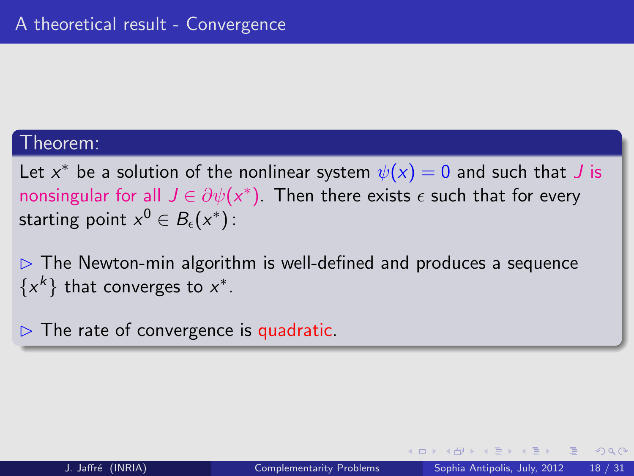### Theorem:

Let  $x^*$  be a solution of the nonlinear system  $\psi(x)=0$  and such that  $J$  is nonsingular for all  $J\in \partial \psi(x^*)$ . Then there exists  $\epsilon$  such that for every starting point  $x^0\in B_\epsilon(x^*)$  :

 $\triangleright$  The Newton-min algorithm is well-defined and produces a sequence  $\{x^k\}$  that converges to  $x^*$ .

 $\triangleright$  The rate of convergence is quadratic.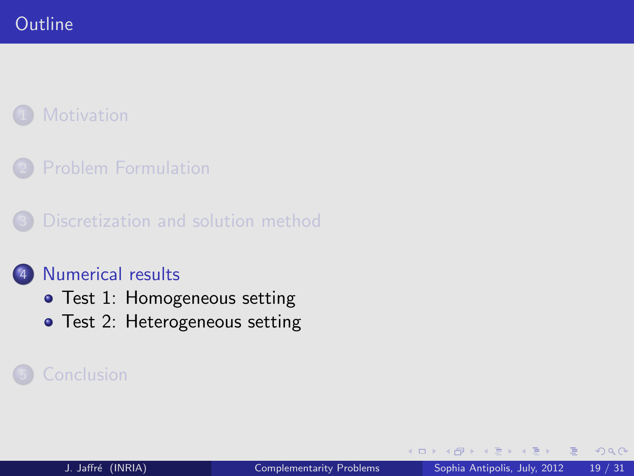[Problem Formulation](#page-5-0)

[Discretization and solution method](#page-11-0)

### [Numerical results](#page-18-0)

- [Test 1: Homogeneous setting](#page-19-0)
- [Test 2: Heterogeneous setting](#page-24-0)

<span id="page-18-0"></span>4 口 下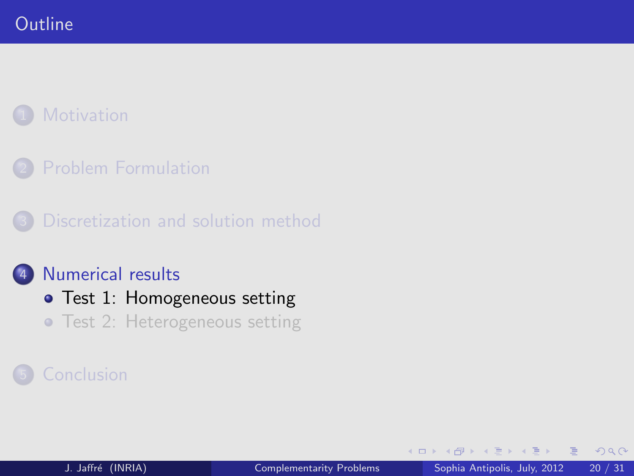[Problem Formulation](#page-5-0)

[Discretization and solution method](#page-11-0)

## 4 [Numerical results](#page-18-0)

- **•** [Test 1: Homogeneous setting](#page-19-0)
- **[Test 2: Heterogeneous setting](#page-24-0)**

4 0 1

<span id="page-19-0"></span> $QQ$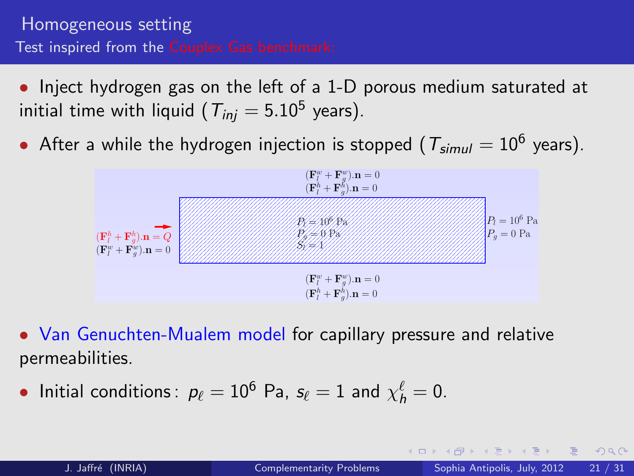## Homogeneous setting Test inspired from the Couplex Gas benchmark:

- Inject hydrogen gas on the left of a 1-D porous medium saturated at initial time with liquid (  $T_{inj}=5.10^5$  years).
- $\bullet$  After a while the hydrogen injection is stopped (  $T_{simul}=10^6$  years).



• Van Genuchten-Mualem model for capillary pressure and relative permeabilities.

• Initial conditions:  $p_\ell = 10^6$  Pa,  $s_\ell = 1$  and  $\chi_h^\ell = 0$ .

 $QQ$ 

**K ロ ⊁ K 何 ≯ K ヨ ≯ K ヨ ≯** …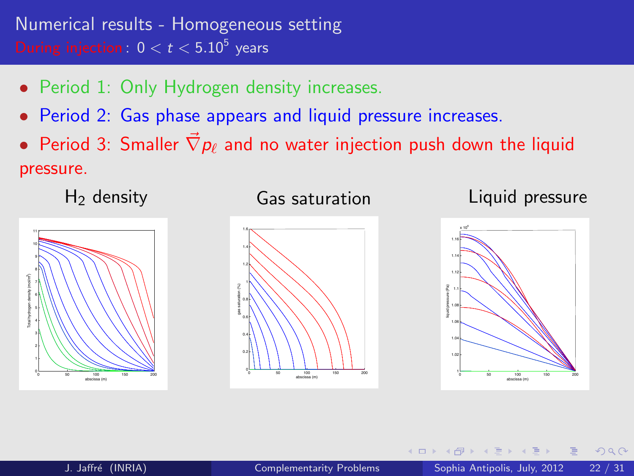- Period 1: Only Hydrogen density increases.
- Period 2: Gas phase appears and liquid pressure increases.
- Period 3: Smaller  $\nabla p_\ell$  and no water injection push down the liquid pressure.



### Gas saturation



## Liquid pressure



4 口 下

 $\Omega$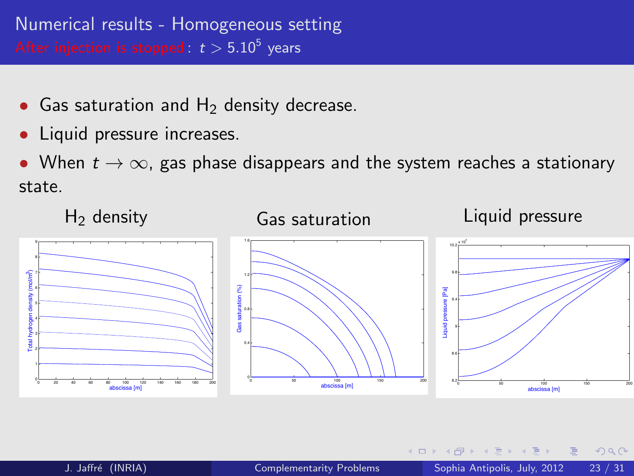- Gas saturation and  $H<sub>2</sub>$  density decrease.
- Liquid pressure increases.

• When  $t \to \infty$ , gas phase disappears and the system reaches a stationary state.



 $\blacksquare$ 

 $\Omega$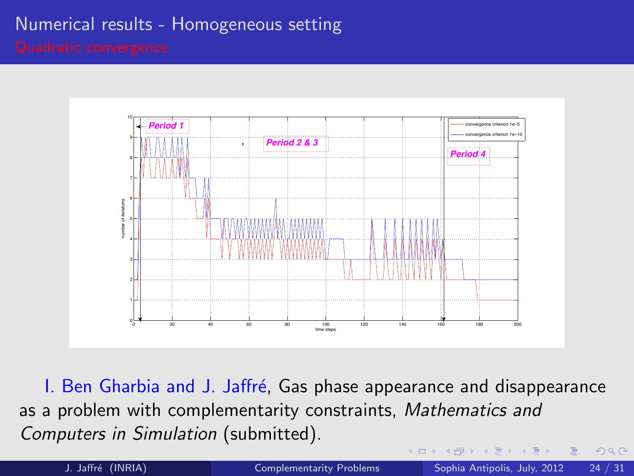## Numerical results - Homogeneous setting



I. Ben Gharbia and J. Jaffré, Gas phase appearance and disappearance as a problem with complementarity constraints, Mathematics and Computers in Simulation (submitted).

<span id="page-23-0"></span> $\Omega$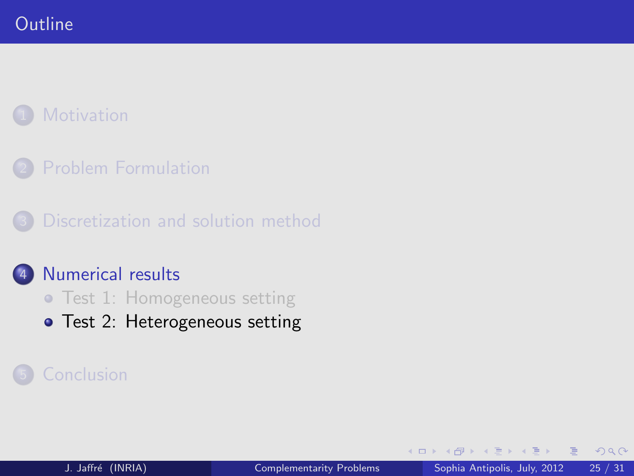[Problem Formulation](#page-5-0)

[Discretization and solution method](#page-11-0)

### [Numerical results](#page-18-0)

- [Test 1: Homogeneous setting](#page-19-0)
- [Test 2: Heterogeneous setting](#page-24-0)

<span id="page-24-0"></span>4 0 1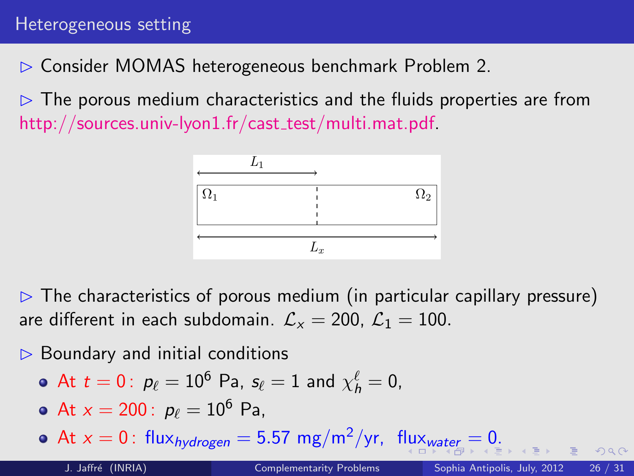✄ Consider MOMAS heterogeneous benchmark Problem 2.

 $\triangleright$  The porous medium characteristics and the fluids properties are from  $\textsf{http://sources.univ-lyon1.fr/cast_test/multi.math.pdf}$ 

<span id="page-25-0"></span>

 $\triangleright$  The characteristics of porous medium (in particular capillary pressure) are different in each subdomain.  $\mathcal{L}_x = 200$ ,  $\mathcal{L}_1 = 100$ .

 $\triangleright$  Boundary and initial conditions

• At 
$$
t = 0
$$
:  $p_{\ell} = 10^6$  Pa,  $s_{\ell} = 1$  and  $\chi^{\ell}_{h} = 0$ ,

• At  $x = 200$ :  $p_\ell = 10^6$  Pa,

• A[t](#page-24-0) $x = 0$  $x = 0$  $x = 0$  $x = 0$ : [flux](#page-24-0)<sub>hydrogen</sub> = 5.57 mg/m<sup>2</sup>/yr, flux<sub>[wa](#page-26-0)t[er](#page-25-0)</sub> = 0[.](#page-27-0)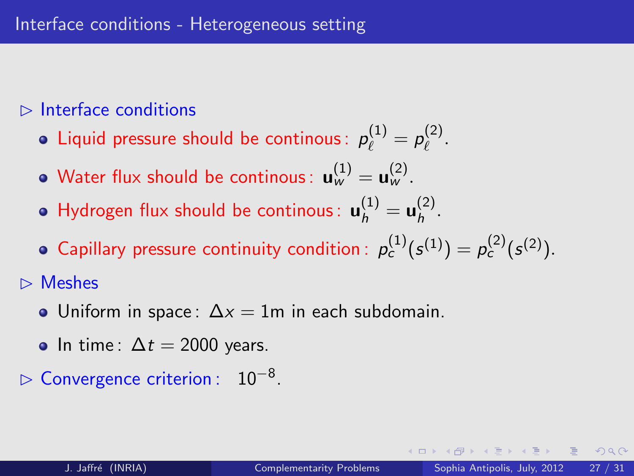## $\triangleright$  Interface conditions

- Liquid pressure should be continous:  $p_\ell^{(1)}=p_\ell^{(2)}$  $\int_{\ell}^{(2)}$ .
- Water flux should be continous:  $\mathbf{u}_w^{(1)} = \mathbf{u}_w^{(2)}.$
- Hydrogen flux should be continous:  $\mathbf{u}_h^{(1)} = \mathbf{u}_h^{(2)}$  $h^{(2)}$ .
- Capillary pressure continuity condition :  $p_c^{(1)}(s^{(1)}) = p_c^{(2)}(s^{(2)})$ .

 $\triangleright$  Meshes

- Uniform in space:  $\Delta x = 1$ m in each subdomain.
- <span id="page-26-0"></span>• In time:  $\Delta t = 2000$  years.
- $\triangleright$  Convergence criterion : 10<sup>-8</sup>.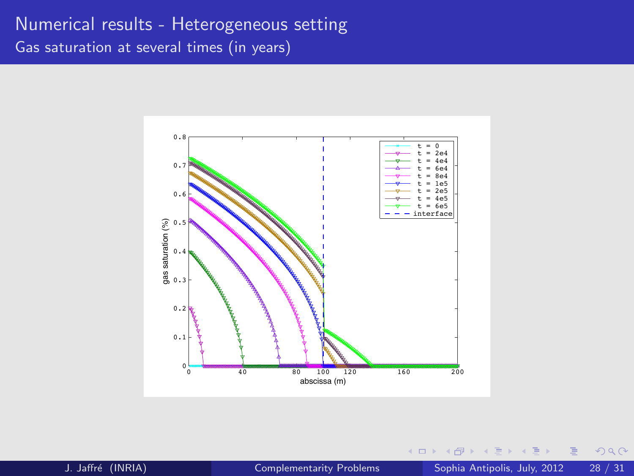## Numerical results - Heterogeneous setting Gas saturation at several times (in years)



- K 3 J. Jaffré (INRIA) [Complementarity Problems](#page-0-0) Sophia Antipolis, July, 2012 28 / 31

4 0 8

 $\overline{A}$ 

<span id="page-27-0"></span> $2990$ 

Ξ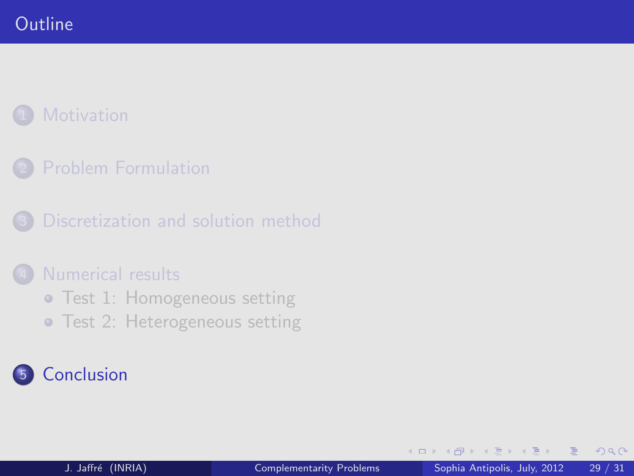[Problem Formulation](#page-5-0)

[Discretization and solution method](#page-11-0)

### [Numerical results](#page-18-0)

- **•** [Test 1: Homogeneous setting](#page-19-0)
- **[Test 2: Heterogeneous setting](#page-24-0)**

# **[Conclusion](#page-28-0)**

4 0 1

<span id="page-28-0"></span> $QQ$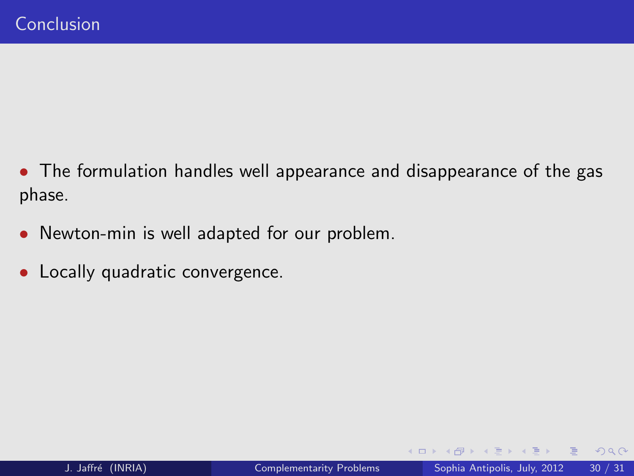- The formulation handles well appearance and disappearance of the gas phase.
- Newton-min is well adapted for our problem.
- Locally quadratic convergence.

4 0 1